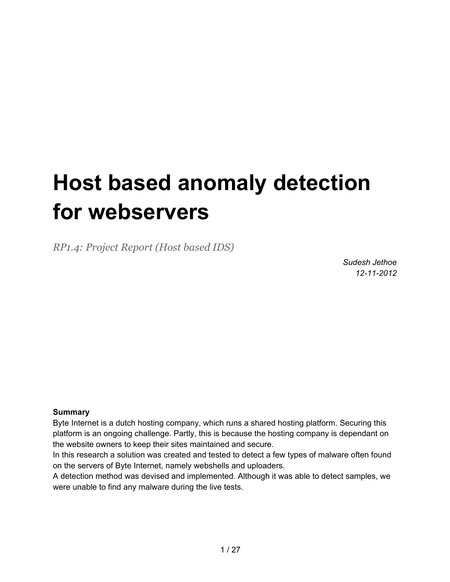# **Host based anomaly detection for webservers**

*RP1.4: Project Report (Host based IDS)*

*Sudesh Jethoe 12-11-2012*

#### **Summary**

Byte Internet is a dutch hosting company, which runs a shared hosting platform. Securing this platform is an ongoing challenge. Partly, this is because the hosting company is dependant on the website owners to keep their sites maintained and secure.

In this research a solution was created and tested to detect a few types of malware often found on the servers of Byte Internet, namely webshells and uploaders.

A detection method was devised and implemented. Although it was able to detect samples, we were unable to find any malware during the live tests.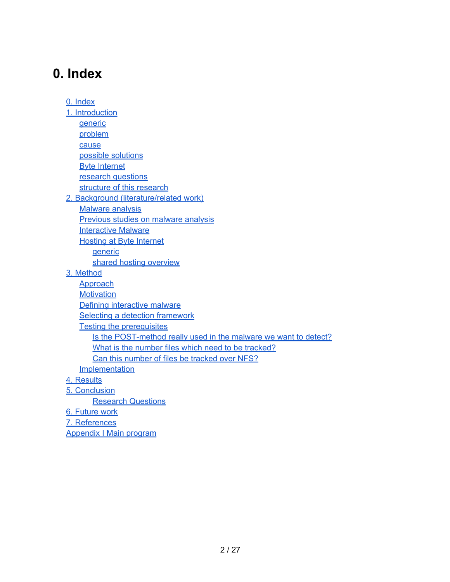# **0. Index**

0. Index [1. Introduction](#page-2-0) **[generic](#page-2-0)** [problem](#page-2-0) [cause](#page-2-0) [possible](#page-2-0) [solutions](#page-2-0) [Byte](#page-3-0) [Internet](#page-3-0) [research](#page-4-0) [questions](#page-4-0) [structure](#page-4-0) [of](#page-4-0) [this](#page-4-0) [research](#page-4-0) [2. Background \(literature/related](#page-5-0) [work\)](#page-5-0) **[Malware](#page-5-0) [analysis](#page-5-0)** [Previous](#page-5-0) [studies](#page-5-0) [on](#page-5-0) [malware](#page-5-0) [analysis](#page-5-0) **[Interactive](#page-6-0) [Malware](#page-6-0)** [Hosting](#page-7-0) [at](#page-7-0) [Byte](#page-7-0) [Internet](#page-7-0) [generic](#page-7-0) [shared](#page-8-0) [hosting](#page-8-0) [overview](#page-8-0) [3. Method](#page-9-0) **[Approach](#page-9-0) [Motivation](#page-9-0)** [Defining](#page-9-0) [interactive](#page-9-0) [malware](#page-9-0) [Selecting](#page-11-0) [a](#page-11-0) [detection](#page-11-0) [framework](#page-11-0) [Testing](#page-13-0) [the](#page-13-0) [prerequisites](#page-13-0) [Is](#page-13-0) [the](#page-13-0) [POST-method](#page-13-0) [really](#page-13-0) [used](#page-13-0) [in](#page-13-0) [the](#page-13-0) [malware](#page-13-0) [we](#page-13-0) [want](#page-13-0) [to](#page-13-0) [detect?](#page-13-0) [What](#page-14-0) [is](#page-14-0) [the](#page-14-0) [number](#page-14-0) [files](#page-14-0) [which](#page-14-0) [need](#page-14-0) [to](#page-14-0) [be](#page-14-0) [tracked?](#page-14-0) [Can](#page-14-0) [this](#page-14-0) [number](#page-14-0) [of](#page-14-0) [files](#page-14-0) [be](#page-14-0) [tracked](#page-14-0) [over](#page-14-0) [NFS?](#page-14-0) **[Implementation](#page-15-0)** [4. Results](#page-16-0) [5. Conclusion](#page-18-0) [Research](#page-18-0) [Questions](#page-18-0) [6. Future](#page-20-0) [work](#page-20-0) [7. References](#page-21-0) [Appendix](#page-22-0) [I](#page-22-0) [Main](#page-22-0) [program](#page-22-0)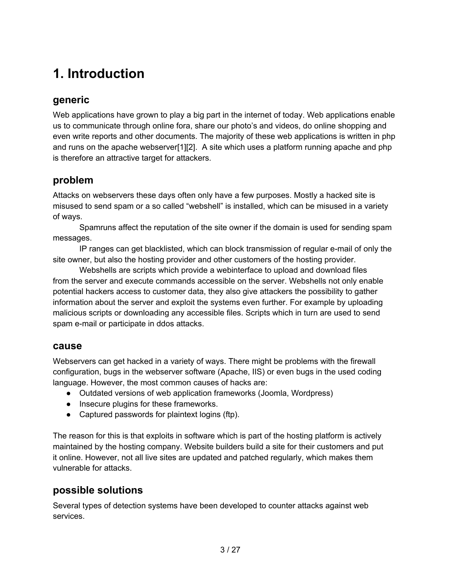# <span id="page-2-0"></span>**1. Introduction**

## **generic**

Web applications have grown to play a big part in the internet of today. Web applications enable us to communicate through online fora, share our photo's and videos, do online shopping and even write reports and other documents. The majority of these web applications is written in php and runs on the apache webserver[1][2]. A site which uses a platform running apache and php is therefore an attractive target for attackers.

### **problem**

Attacks on webservers these days often only have a few purposes. Mostly a hacked site is misused to send spam or a so called "webshell" is installed, which can be misused in a variety of ways.

Spamruns affect the reputation of the site owner if the domain is used for sending spam messages.

IP ranges can get blacklisted, which can block transmission of regular e-mail of only the site owner, but also the hosting provider and other customers of the hosting provider.

Webshells are scripts which provide a webinterface to upload and download files from the server and execute commands accessible on the server. Webshells not only enable potential hackers access to customer data, they also give attackers the possibility to gather information about the server and exploit the systems even further. For example by uploading malicious scripts or downloading any accessible files. Scripts which in turn are used to send spam e-mail or participate in ddos attacks.

#### **cause**

Webservers can get hacked in a variety of ways. There might be problems with the firewall configuration, bugs in the webserver software (Apache, IIS) or even bugs in the used coding language. However, the most common causes of hacks are:

- Outdated versions of web application frameworks (Joomla, Wordpress)
- Insecure plugins for these frameworks.
- Captured passwords for plaintext logins (ftp).

The reason for this is that exploits in software which is part of the hosting platform is actively maintained by the hosting company. Website builders build a site for their customers and put it online. However, not all live sites are updated and patched regularly, which makes them vulnerable for attacks.

### **possible solutions**

Several types of detection systems have been developed to counter attacks against web services.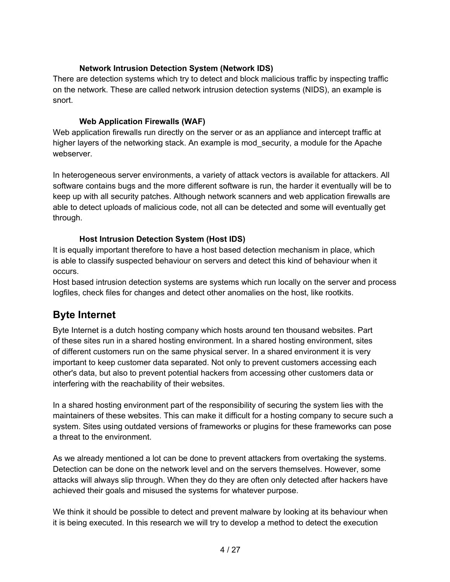#### **Network Intrusion Detection System (Network IDS)**

<span id="page-3-0"></span>There are detection systems which try to detect and block malicious traffic by inspecting traffic on the network. These are called network intrusion detection systems (NIDS), an example is snort.

#### **Web Application Firewalls (WAF)**

Web application firewalls run directly on the server or as an appliance and intercept traffic at higher layers of the networking stack. An example is mod\_security, a module for the Apache webserver.

In heterogeneous server environments, a variety of attack vectors is available for attackers. All software contains bugs and the more different software is run, the harder it eventually will be to keep up with all security patches. Although network scanners and web application firewalls are able to detect uploads of malicious code, not all can be detected and some will eventually get through.

#### **Host Intrusion Detection System (Host IDS)**

It is equally important therefore to have a host based detection mechanism in place, which is able to classify suspected behaviour on servers and detect this kind of behaviour when it occurs.

Host based intrusion detection systems are systems which run locally on the server and process logfiles, check files for changes and detect other anomalies on the host, like rootkits.

### **Byte Internet**

Byte Internet is a dutch hosting company which hosts around ten thousand websites. Part of these sites run in a shared hosting environment. In a shared hosting environment, sites of different customers run on the same physical server. In a shared environment it is very important to keep customer data separated. Not only to prevent customers accessing each other's data, but also to prevent potential hackers from accessing other customers data or interfering with the reachability of their websites.

In a shared hosting environment part of the responsibility of securing the system lies with the maintainers of these websites. This can make it difficult for a hosting company to secure such a system. Sites using outdated versions of frameworks or plugins for these frameworks can pose a threat to the environment.

As we already mentioned a lot can be done to prevent attackers from overtaking the systems. Detection can be done on the network level and on the servers themselves. However, some attacks will always slip through. When they do they are often only detected after hackers have achieved their goals and misused the systems for whatever purpose.

We think it should be possible to detect and prevent malware by looking at its behaviour when it is being executed. In this research we will try to develop a method to detect the execution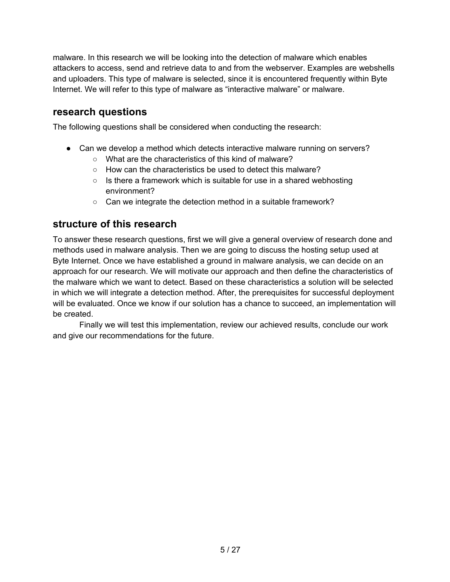<span id="page-4-0"></span>malware. In this research we will be looking into the detection of malware which enables attackers to access, send and retrieve data to and from the webserver. Examples are webshells and uploaders. This type of malware is selected, since it is encountered frequently within Byte Internet. We will refer to this type of malware as "interactive malware" or malware.

### **research questions**

The following questions shall be considered when conducting the research:

- Can we develop a method which detects interactive malware running on servers?
	- What are the characteristics of this kind of malware?
	- How can the characteristics be used to detect this malware?
	- Is there a framework which is suitable for use in a shared webhosting environment?
	- Can we integrate the detection method in a suitable framework?

### **structure of this research**

To answer these research questions, first we will give a general overview of research done and methods used in malware analysis. Then we are going to discuss the hosting setup used at Byte Internet. Once we have established a ground in malware analysis, we can decide on an approach for our research. We will motivate our approach and then define the characteristics of the malware which we want to detect. Based on these characteristics a solution will be selected in which we will integrate a detection method. After, the prerequisites for successful deployment will be evaluated. Once we know if our solution has a chance to succeed, an implementation will be created.

Finally we will test this implementation, review our achieved results, conclude our work and give our recommendations for the future.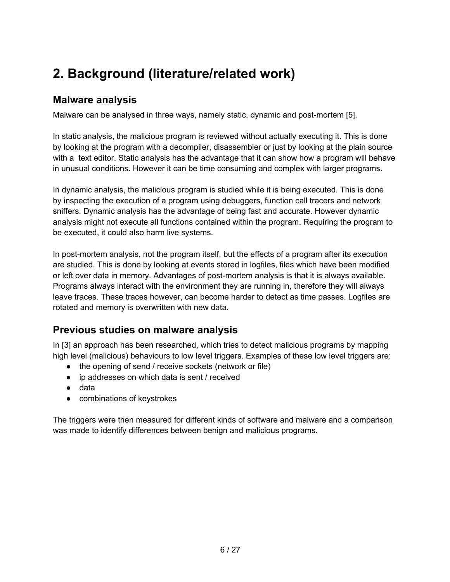# <span id="page-5-0"></span>**2. Background (literature/related work)**

### **Malware analysis**

Malware can be analysed in three ways, namely static, dynamic and post-mortem [5].

In static analysis, the malicious program is reviewed without actually executing it. This is done by looking at the program with a decompiler, disassembler or just by looking at the plain source with a text editor. Static analysis has the advantage that it can show how a program will behave in unusual conditions. However it can be time consuming and complex with larger programs.

In dynamic analysis, the malicious program is studied while it is being executed. This is done by inspecting the execution of a program using debuggers, function call tracers and network sniffers. Dynamic analysis has the advantage of being fast and accurate. However dynamic analysis might not execute all functions contained within the program. Requiring the program to be executed, it could also harm live systems.

In post-mortem analysis, not the program itself, but the effects of a program after its execution are studied. This is done by looking at events stored in logfiles, files which have been modified or left over data in memory. Advantages of post-mortem analysis is that it is always available. Programs always interact with the environment they are running in, therefore they will always leave traces. These traces however, can become harder to detect as time passes. Logfiles are rotated and memory is overwritten with new data.

# **Previous studies on malware analysis**

In [3] an approach has been researched, which tries to detect malicious programs by mapping high level (malicious) behaviours to low level triggers. Examples of these low level triggers are:

- the opening of send / receive sockets (network or file)
- ip addresses on which data is sent / received
- data
- combinations of keystrokes

The triggers were then measured for different kinds of software and malware and a comparison was made to identify differences between benign and malicious programs.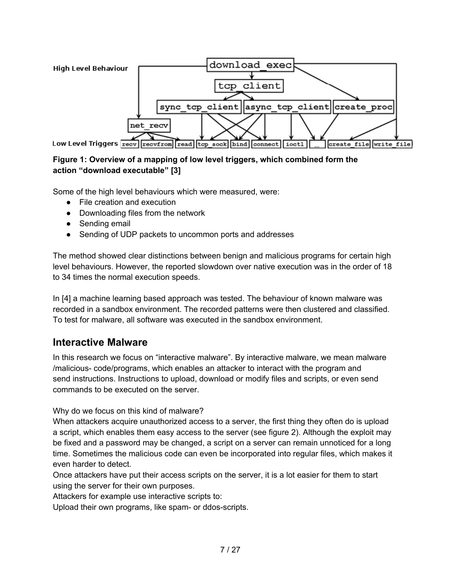<span id="page-6-0"></span>

#### **Figure 1: Overview of a mapping of low level triggers, which combined form the action "download executable" [3]**

Some of the high level behaviours which were measured, were:

- File creation and execution
- Downloading files from the network
- Sending email
- Sending of UDP packets to uncommon ports and addresses

The method showed clear distinctions between benign and malicious programs for certain high level behaviours. However, the reported slowdown over native execution was in the order of 18 to 34 times the normal execution speeds.

In [4] a machine learning based approach was tested. The behaviour of known malware was recorded in a sandbox environment. The recorded patterns were then clustered and classified. To test for malware, all software was executed in the sandbox environment.

### **Interactive Malware**

In this research we focus on "interactive malware". By interactive malware, we mean malware /malicious- code/programs, which enables an attacker to interact with the program and send instructions. Instructions to upload, download or modify files and scripts, or even send commands to be executed on the server.

Why do we focus on this kind of malware?

When attackers acquire unauthorized access to a server, the first thing they often do is upload a script, which enables them easy access to the server (see figure 2). Although the exploit may be fixed and a password may be changed, a script on a server can remain unnoticed for a long time. Sometimes the malicious code can even be incorporated into regular files, which makes it even harder to detect.

Once attackers have put their access scripts on the server, it is a lot easier for them to start using the server for their own purposes.

Attackers for example use interactive scripts to:

Upload their own programs, like spam- or ddos-scripts.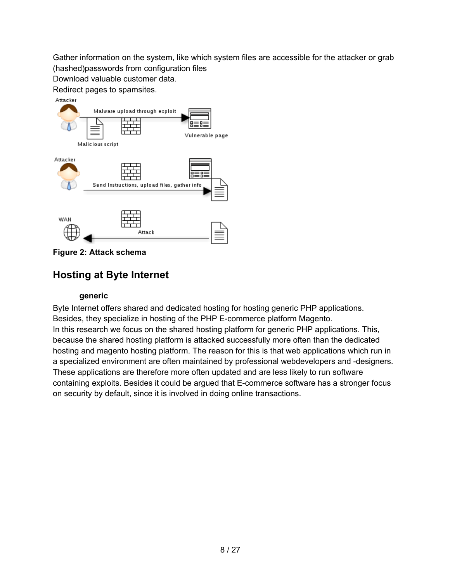<span id="page-7-0"></span>Gather information on the system, like which system files are accessible for the attacker or grab (hashed)passwords from configuration files

Download valuable customer data. Redirect pages to spamsites.



**Figure 2: Attack schema**

# **Hosting at Byte Internet**

#### **generic**

Byte Internet offers shared and dedicated hosting for hosting generic PHP applications. Besides, they specialize in hosting of the PHP E-commerce platform Magento. In this research we focus on the shared hosting platform for generic PHP applications. This, because the shared hosting platform is attacked successfully more often than the dedicated hosting and magento hosting platform. The reason for this is that web applications which run in a specialized environment are often maintained by professional webdevelopers and -designers. These applications are therefore more often updated and are less likely to run software containing exploits. Besides it could be argued that E-commerce software has a stronger focus on security by default, since it is involved in doing online transactions.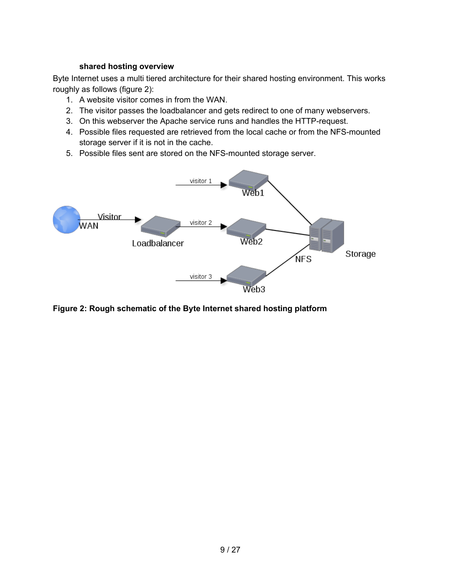#### **shared hosting overview**

<span id="page-8-0"></span>Byte Internet uses a multi tiered architecture for their shared hosting environment. This works roughly as follows (figure 2):

- 1. A website visitor comes in from the WAN.
- 2. The visitor passes the loadbalancer and gets redirect to one of many webservers.
- 3. On this webserver the Apache service runs and handles the HTTP-request.
- 4. Possible files requested are retrieved from the local cache or from the NFS-mounted storage server if it is not in the cache.
- 5. Possible files sent are stored on the NFS-mounted storage server.



**Figure 2: Rough schematic of the Byte Internet shared hosting platform**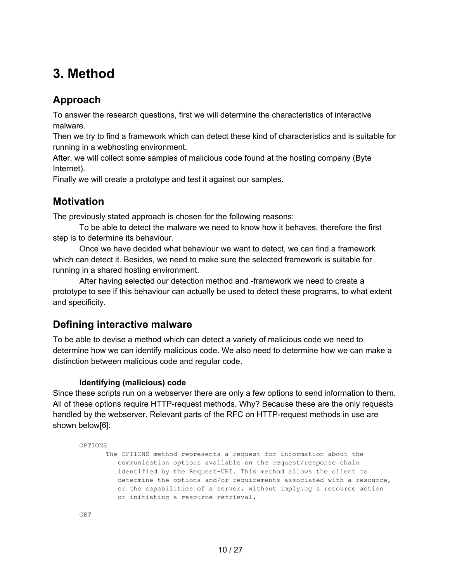# <span id="page-9-0"></span>**3. Method**

# **Approach**

To answer the research questions, first we will determine the characteristics of interactive malware.

Then we try to find a framework which can detect these kind of characteristics and is suitable for running in a webhosting environment.

After, we will collect some samples of malicious code found at the hosting company (Byte Internet).

Finally we will create a prototype and test it against our samples.

## **Motivation**

The previously stated approach is chosen for the following reasons:

To be able to detect the malware we need to know how it behaves, therefore the first step is to determine its behaviour.

Once we have decided what behaviour we want to detect, we can find a framework which can detect it. Besides, we need to make sure the selected framework is suitable for running in a shared hosting environment.

After having selected our detection method and -framework we need to create a prototype to see if this behaviour can actually be used to detect these programs, to what extent and specificity.

# **Defining interactive malware**

To be able to devise a method which can detect a variety of malicious code we need to determine how we can identify malicious code. We also need to determine how we can make a distinction between malicious code and regular code.

#### **Identifying (malicious) code**

Since these scripts run on a webserver there are only a few options to send information to them. All of these options require HTTP-request methods. Why? Because these are the only requests handled by the webserver. Relevant parts of the RFC on HTTP-request methods in use are shown below[6]:

```
OPTIONS
      The OPTIONS method represents a request for information about the
          communication options available on the request/response chain
          identified by the Request-URI. This method allows the client to
          determine the options and/or requirements associated with a resource,
          or the capabilities of a server, without implying a resource action
          or initiating a resource retrieval.
```

```
GET
```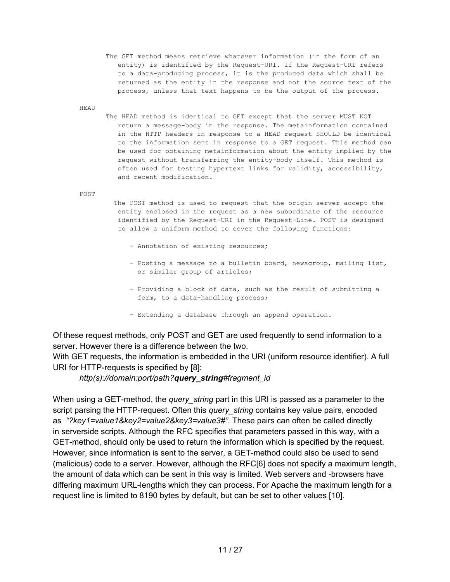The GET method means retrieve whatever information (in the form of an entity) is identified by the Request-URI. If the Request-URI refers to a data-producing process, it is the produced data which shall be returned as the entity in the response and not the source text of the process, unless that text happens to be the output of the process.

HEAD

The HEAD method is identical to GET except that the server MUST NOT return a message-body in the response. The metainformation contained in the HTTP headers in response to a HEAD request SHOULD be identical to the information sent in response to a GET request. This method can be used for obtaining metainformation about the entity implied by the request without transferring the entity-body itself. This method is often used for testing hypertext links for validity, accessibility, and recent modification.

POST

 The POST method is used to request that the origin server accept the entity enclosed in the request as a new subordinate of the resource identified by the Request-URI in the Request-Line. POST is designed to allow a uniform method to cover the following functions:

- Annotation of existing resources;
- Posting a message to a bulletin board, newsgroup, mailing list, or similar group of articles;
- Providing a block of data, such as the result of submitting a form, to a data-handling process;
- Extending a database through an append operation.

Of these request methods, only POST and GET are used frequently to send information to a server. However there is a difference between the two.

With GET requests, the information is embedded in the URI (uniform resource identifier). A full URI for HTTP-requests is specified by [8]:

*http(s)://domain:port/path?query\_string#fragment\_id*

When using a GET-method, the *query\_string* part in this URI is passed as a parameter to the script parsing the HTTP-request. Often this *query\_string* contains key value pairs, encoded as *"?key1=value1&key2=value2&key3=value3#"*. These pairs can often be called directly in serverside scripts. Although the RFC specifies that parameters passed in this way, with a GET-method, should only be used to return the information which is specified by the request. However, since information is sent to the server, a GET-method could also be used to send (malicious) code to a server. However, although the RFC[6] does not specify a maximum length, the amount of data which can be sent in this way is limited. Web servers and -browsers have differing maximum URL-lengths which they can process. For Apache the maximum length for a request line is limited to 8190 bytes by default, but can be set to other values [10].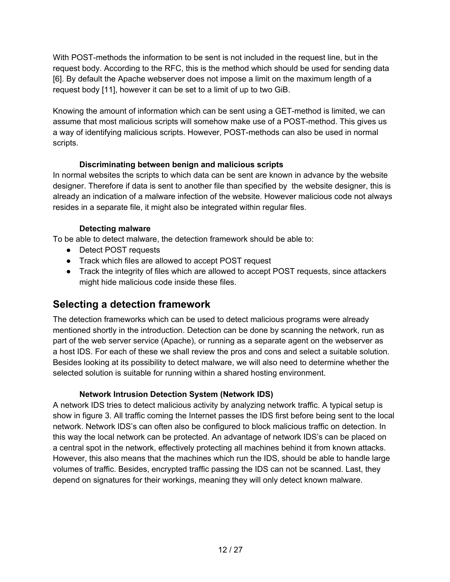<span id="page-11-0"></span>With POST-methods the information to be sent is not included in the request line, but in the request body. According to the RFC, this is the method which should be used for sending data [6]. By default the Apache webserver does not impose a limit on the maximum length of a request body [11], however it can be set to a limit of up to two GiB.

Knowing the amount of information which can be sent using a GET-method is limited, we can assume that most malicious scripts will somehow make use of a POST-method. This gives us a way of identifying malicious scripts. However, POST-methods can also be used in normal scripts.

#### **Discriminating between benign and malicious scripts**

In normal websites the scripts to which data can be sent are known in advance by the website designer. Therefore if data is sent to another file than specified by the website designer, this is already an indication of a malware infection of the website. However malicious code not always resides in a separate file, it might also be integrated within regular files.

#### **Detecting malware**

To be able to detect malware, the detection framework should be able to:

- Detect POST requests
- Track which files are allowed to accept POST request
- Track the integrity of files which are allowed to accept POST requests, since attackers might hide malicious code inside these files.

# **Selecting a detection framework**

The detection frameworks which can be used to detect malicious programs were already mentioned shortly in the introduction. Detection can be done by scanning the network, run as part of the web server service (Apache), or running as a separate agent on the webserver as a host IDS. For each of these we shall review the pros and cons and select a suitable solution. Besides looking at its possibility to detect malware, we will also need to determine whether the selected solution is suitable for running within a shared hosting environment.

#### **Network Intrusion Detection System (Network IDS)**

A network IDS tries to detect malicious activity by analyzing network traffic. A typical setup is show in figure 3. All traffic coming the Internet passes the IDS first before being sent to the local network. Network IDS's can often also be configured to block malicious traffic on detection. In this way the local network can be protected. An advantage of network IDS's can be placed on a central spot in the network, effectively protecting all machines behind it from known attacks. However, this also means that the machines which run the IDS, should be able to handle large volumes of traffic. Besides, encrypted traffic passing the IDS can not be scanned. Last, they depend on signatures for their workings, meaning they will only detect known malware.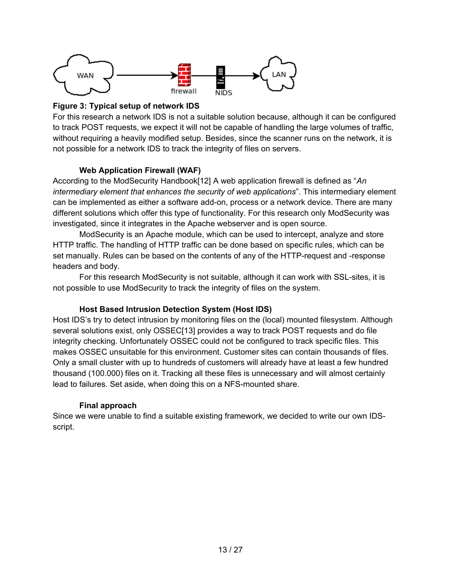

#### **Figure 3: Typical setup of network IDS**

For this research a network IDS is not a suitable solution because, although it can be configured to track POST requests, we expect it will not be capable of handling the large volumes of traffic, without requiring a heavily modified setup. Besides, since the scanner runs on the network, it is not possible for a network IDS to track the integrity of files on servers.

#### **Web Application Firewall (WAF)**

According to the ModSecurity Handbook[12] A web application firewall is defined as "*An intermediary element that enhances the security of web applications*". This intermediary element can be implemented as either a software add-on, process or a network device. There are many different solutions which offer this type of functionality. For this research only ModSecurity was investigated, since it integrates in the Apache webserver and is open source.

ModSecurity is an Apache module, which can be used to intercept, analyze and store HTTP traffic. The handling of HTTP traffic can be done based on specific rules, which can be set manually. Rules can be based on the contents of any of the HTTP-request and -response headers and body.

For this research ModSecurity is not suitable, although it can work with SSL-sites, it is not possible to use ModSecurity to track the integrity of files on the system.

#### **Host Based Intrusion Detection System (Host IDS)**

Host IDS's try to detect intrusion by monitoring files on the (local) mounted filesystem. Although several solutions exist, only OSSEC[13] provides a way to track POST requests and do file integrity checking. Unfortunately OSSEC could not be configured to track specific files. This makes OSSEC unsuitable for this environment. Customer sites can contain thousands of files. Only a small cluster with up to hundreds of customers will already have at least a few hundred thousand (100.000) files on it. Tracking all these files is unnecessary and will almost certainly lead to failures. Set aside, when doing this on a NFS-mounted share.

#### **Final approach**

Since we were unable to find a suitable existing framework, we decided to write our own IDSscript.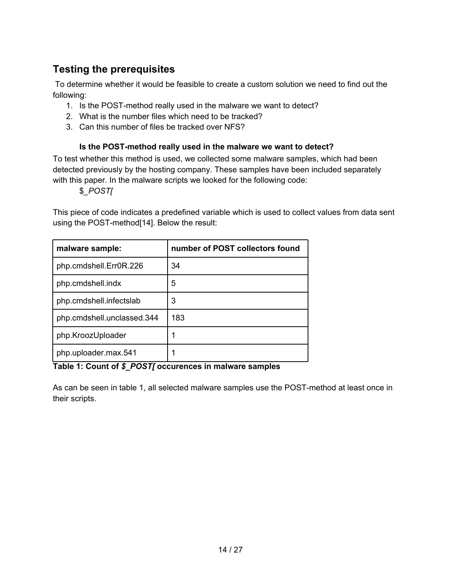# <span id="page-13-0"></span>**Testing the prerequisites**

 To determine whether it would be feasible to create a custom solution we need to find out the following:

- 1. Is the POST-method really used in the malware we want to detect?
- 2. What is the number files which need to be tracked?
- 3. Can this number of files be tracked over NFS?

#### **Is the POST-method really used in the malware we want to detect?**

To test whether this method is used, we collected some malware samples, which had been detected previously by the hosting company. These samples have been included separately with this paper. In the malware scripts we looked for the following code:

\$*\_POST[*

This piece of code indicates a predefined variable which is used to collect values from data sent using the POST-method[14]. Below the result:

| malware sample:            | number of POST collectors found |
|----------------------------|---------------------------------|
| php.cmdshell.Err0R.226     | 34                              |
| php.cmdshell.indx          | 5                               |
| php.cmdshell.infectslab    | 3                               |
| php.cmdshell.unclassed.344 | 183                             |
| php.KroozUploader          |                                 |
| php.uploader.max.541       |                                 |

**Table 1: Count of** *\$\_POST[* **occurences in malware samples**

As can be seen in table 1, all selected malware samples use the POST-method at least once in their scripts.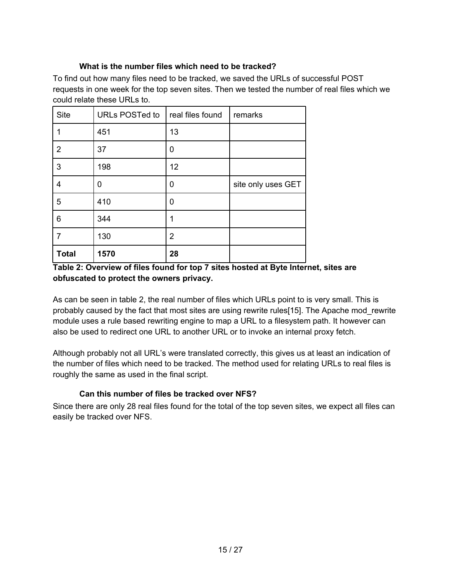#### **What is the number files which need to be tracked?**

<span id="page-14-0"></span>To find out how many files need to be tracked, we saved the URLs of successful POST requests in one week for the top seven sites. Then we tested the number of real files which we could relate these URLs to.

| <b>Site</b>    | URLs POSTed to | real files found | remarks            |
|----------------|----------------|------------------|--------------------|
| 1              | 451            | 13               |                    |
| $\overline{2}$ | 37             | 0                |                    |
| 3              | 198            | 12               |                    |
| $\overline{4}$ | 0              | 0                | site only uses GET |
| 5              | 410            | 0                |                    |
| 6              | 344            | 1                |                    |
|                | 130            | $\overline{2}$   |                    |
| <b>Total</b>   | 1570           | 28               |                    |

#### **Table 2: Overview of files found for top 7 sites hosted at Byte Internet, sites are obfuscated to protect the owners privacy.**

As can be seen in table 2, the real number of files which URLs point to is very small. This is probably caused by the fact that most sites are using rewrite rules[15]. The Apache mod\_rewrite module uses a rule based rewriting engine to map a URL to a filesystem path. It however can also be used to redirect one URL to another URL or to invoke an internal proxy fetch.

Although probably not all URL's were translated correctly, this gives us at least an indication of the number of files which need to be tracked. The method used for relating URLs to real files is roughly the same as used in the final script.

#### **Can this number of files be tracked over NFS?**

Since there are only 28 real files found for the total of the top seven sites, we expect all files can easily be tracked over NFS.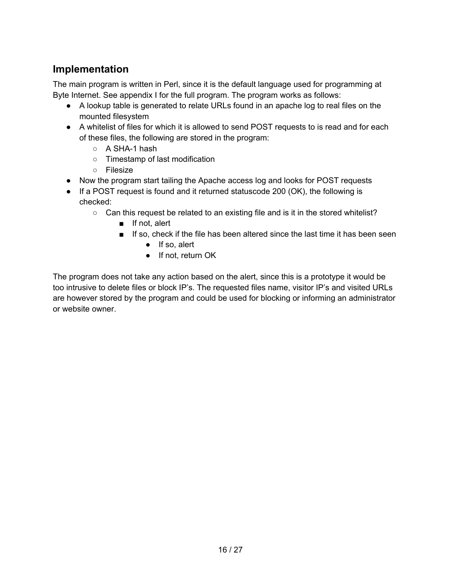# <span id="page-15-0"></span>**Implementation**

The main program is written in Perl, since it is the default language used for programming at Byte Internet. See appendix I for the full program. The program works as follows:

- A lookup table is generated to relate URLs found in an apache log to real files on the mounted filesystem
- A whitelist of files for which it is allowed to send POST requests to is read and for each of these files, the following are stored in the program:
	- A SHA-1 hash
	- Timestamp of last modification
	- Filesize
- Now the program start tailing the Apache access log and looks for POST requests
- If a POST request is found and it returned statuscode 200 (OK), the following is checked:
	- Can this request be related to an existing file and is it in the stored whitelist?
		- If not, alert
		- If so, check if the file has been altered since the last time it has been seen
			- If so, alert
			- If not, return OK

The program does not take any action based on the alert, since this is a prototype it would be too intrusive to delete files or block IP's. The requested files name, visitor IP's and visited URLs are however stored by the program and could be used for blocking or informing an administrator or website owner.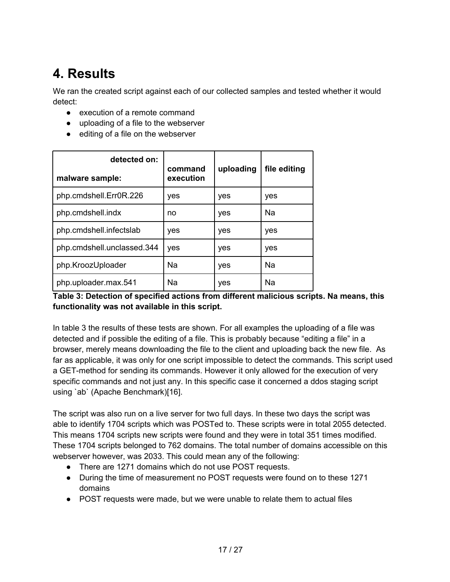# <span id="page-16-0"></span>**4. Results**

We ran the created script against each of our collected samples and tested whether it would detect:

- execution of a remote command
- uploading of a file to the webserver
- editing of a file on the webserver

| detected on:               | command   | uploading | file editing |
|----------------------------|-----------|-----------|--------------|
| malware sample:            | execution |           |              |
| php.cmdshell.Err0R.226     | yes       | yes       | yes          |
| php.cmdshell.indx          | no        | yes       | Na           |
| php.cmdshell.infectslab    | yes       | yes       | yes          |
| php.cmdshell.unclassed.344 | yes       | yes       | yes          |
| php.KroozUploader          | Na        | yes       | Na           |
| php.uploader.max.541       | Na        | yes       | Na           |

#### **Table 3: Detection of specified actions from different malicious scripts. Na means, this functionality was not available in this script.**

In table 3 the results of these tests are shown. For all examples the uploading of a file was detected and if possible the editing of a file. This is probably because "editing a file" in a browser, merely means downloading the file to the client and uploading back the new file. As far as applicable, it was only for one script impossible to detect the commands. This script used a GET-method for sending its commands. However it only allowed for the execution of very specific commands and not just any. In this specific case it concerned a ddos staging script using `ab` (Apache Benchmark)[16].

The script was also run on a live server for two full days. In these two days the script was able to identify 1704 scripts which was POSTed to. These scripts were in total 2055 detected. This means 1704 scripts new scripts were found and they were in total 351 times modified. These 1704 scripts belonged to 762 domains. The total number of domains accessible on this webserver however, was 2033. This could mean any of the following:

- There are 1271 domains which do not use POST requests.
- During the time of measurement no POST requests were found on to these 1271 domains
- POST requests were made, but we were unable to relate them to actual files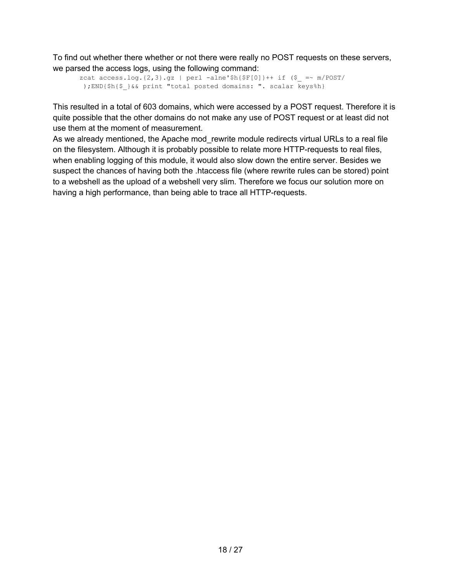To find out whether there whether or not there were really no POST requests on these servers, we parsed the access logs, using the following command:

```
zcat access.log.{2,3}.gz | perl -alne'$h{$F[0]}++ if ($ =~ m/POST/
 );END{$h{$_}&& print "total posted domains: ". scalar keys%h}
```
This resulted in a total of 603 domains, which were accessed by a POST request. Therefore it is quite possible that the other domains do not make any use of POST request or at least did not use them at the moment of measurement.

As we already mentioned, the Apache mod rewrite module redirects virtual URLs to a real file on the filesystem. Although it is probably possible to relate more HTTP-requests to real files, when enabling logging of this module, it would also slow down the entire server. Besides we suspect the chances of having both the .htaccess file (where rewrite rules can be stored) point to a webshell as the upload of a webshell very slim. Therefore we focus our solution more on having a high performance, than being able to trace all HTTP-requests.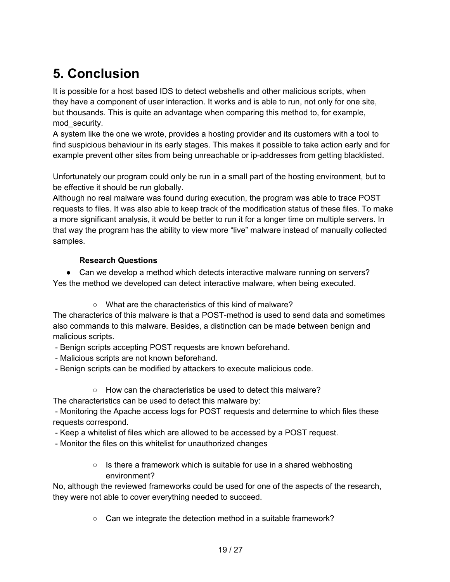# <span id="page-18-0"></span>**5. Conclusion**

It is possible for a host based IDS to detect webshells and other malicious scripts, when they have a component of user interaction. It works and is able to run, not only for one site, but thousands. This is quite an advantage when comparing this method to, for example, mod\_security.

A system like the one we wrote, provides a hosting provider and its customers with a tool to find suspicious behaviour in its early stages. This makes it possible to take action early and for example prevent other sites from being unreachable or ip-addresses from getting blacklisted.

Unfortunately our program could only be run in a small part of the hosting environment, but to be effective it should be run globally.

Although no real malware was found during execution, the program was able to trace POST requests to files. It was also able to keep track of the modification status of these files. To make a more significant analysis, it would be better to run it for a longer time on multiple servers. In that way the program has the ability to view more "live" malware instead of manually collected samples.

#### **Research Questions**

● Can we develop a method which detects interactive malware running on servers? Yes the method we developed can detect interactive malware, when being executed.

○ What are the characteristics of this kind of malware?

The characterics of this malware is that a POST-method is used to send data and sometimes also commands to this malware. Besides, a distinction can be made between benign and malicious scripts.

- Benign scripts accepting POST requests are known beforehand.

- Malicious scripts are not known beforehand.
- Benign scripts can be modified by attackers to execute malicious code.
	- How can the characteristics be used to detect this malware?

The characteristics can be used to detect this malware by:

 - Monitoring the Apache access logs for POST requests and determine to which files these requests correspond.

- Keep a whitelist of files which are allowed to be accessed by a POST request.

- Monitor the files on this whitelist for unauthorized changes
	- Is there a framework which is suitable for use in a shared webhosting environment?

No, although the reviewed frameworks could be used for one of the aspects of the research, they were not able to cover everything needed to succeed.

○ Can we integrate the detection method in a suitable framework?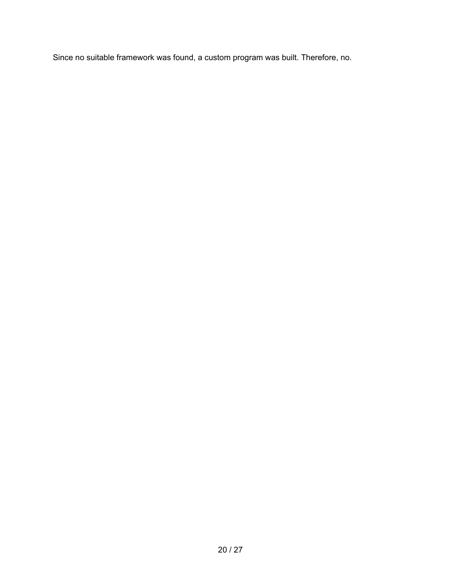Since no suitable framework was found, a custom program was built. Therefore, no.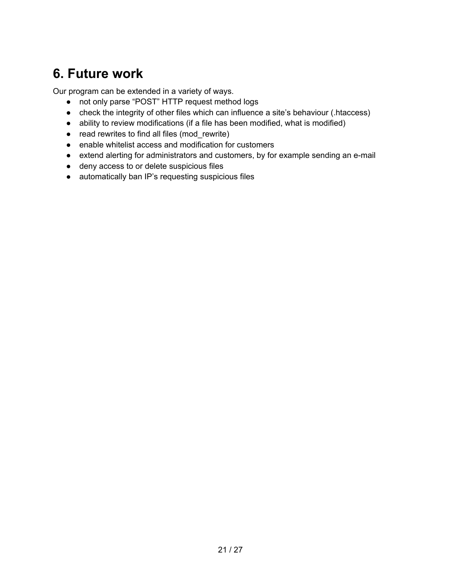# <span id="page-20-0"></span>**6. Future work**

Our program can be extended in a variety of ways.

- not only parse "POST" HTTP request method logs
- check the integrity of other files which can influence a site's behaviour (.htaccess)
- ability to review modifications (if a file has been modified, what is modified)
- read rewrites to find all files (mod\_rewrite)
- enable whitelist access and modification for customers
- extend alerting for administrators and customers, by for example sending an e-mail
- deny access to or delete suspicious files
- automatically ban IP's requesting suspicious files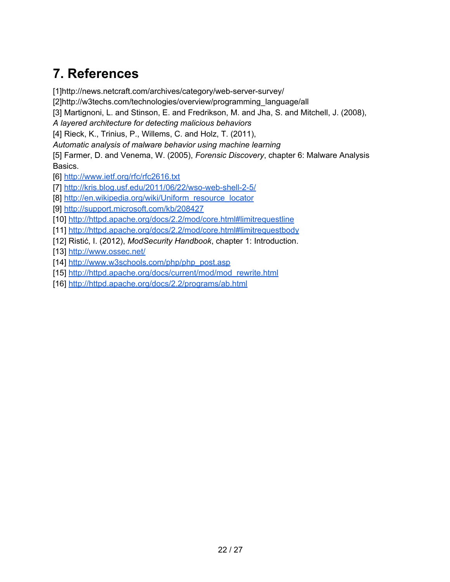# <span id="page-21-0"></span>**7. References**

[1]http://news.netcraft.com/archives/category/web-server-survey/

[2]http://w3techs.com/technologies/overview/programming\_language/all

[3] Martignoni, L. and Stinson, E. and Fredrikson, M. and Jha, S. and Mitchell, J. (2008),

*A layered architecture for detecting malicious behaviors*

[4] Rieck, K., Trinius, P., Willems, C. and Holz, T. (2011),

*Automatic analysis of malware behavior using machine learning*

[5] Farmer, D. and Venema, W. (2005), *Forensic Discovery*, chapter 6: Malware Analysis Basics.

[6]<http://www.ietf.org/rfc/rfc2616.txt>

[7]<http://kris.blog.usf.edu/2011/06/22/wso-web-shell-2-5/>

[8] [http://en.wikipedia.org/wiki/Uniform\\_resource\\_locator](http://en.wikipedia.org/wiki/Uniform_resource_locator)

[9]<http://support.microsoft.com/kb/208427>

[10]<http://httpd.apache.org/docs/2.2/mod/core.html#limitrequestline>

[11]<http://httpd.apache.org/docs/2.2/mod/core.html#limitrequestbody>

[12] Ristić, I. (2012), *ModSecurity Handbook*, chapter 1: Introduction.

[13]<http://www.ossec.net/>

[14] [http://www.w3schools.com/php/php\\_post.asp](http://www.w3schools.com/php/php_post.asp)

[15] [http://httpd.apache.org/docs/current/mod/mod\\_rewrite.html](http://httpd.apache.org/docs/current/mod/mod_rewrite.html)

[16]<http://httpd.apache.org/docs/2.2/programs/ab.html>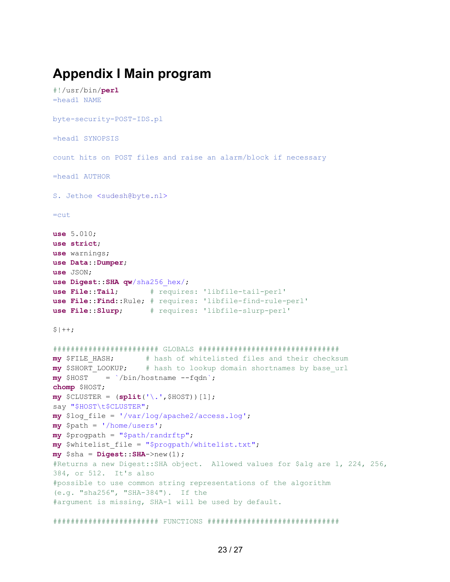# <span id="page-22-0"></span>**Appendix I Main program**

```
#!/usr/bin/perl
=head1 NAME
byte-security-POST-IDS.pl
=head1 SYNOPSIS
count hits on POST files and raise an alarm/block if necessary
=head1 AUTHOR
S. Jethoe <sudesh@byte.nl>
=cut
use 5.010;
use strict;
use warnings;
use Data::Dumper;
use JSON;
use Digest::SHA qw/sha256_hex/;
use File::Tail; # requires: 'libfile-tail-perl'
use File::Find::Rule; # requires: 'libfile-find-rule-perl'
use File::Slurp; # requires: 'libfile-slurp-perl'
$|++;######################## GLOBALS ################################
my $FILE_HASH; # hash of whitelisted files and their checksum
my $SHORT_LOOKUP; # hash to lookup domain shortnames by base_url
my $HOST = `/bin/hostname --fqdn`;
chomp $HOST;
my $CLUSTER = (split('\.',$HOST))[1];
say "$HOST\t$CLUSTER";
my $log_file = '/var/log/apache2/access.log';
my $path = '/home/users';
my $progpath = "$path/randrftp";
my $whitelist_file = "$progpath/whitelist.txt";
my $sha = Digest::SHA->new(1);
#Returns a new Digest::SHA object. Allowed values for $alg are 1, 224, 256, 
384, or 512. It's also
#possible to use common string representations of the algorithm 
(e.g. "sha256", "SHA-384"). If the
#argument is missing, SHA-1 will be used by default.
######################## FUNCTIONS ##############################
```
23 / 27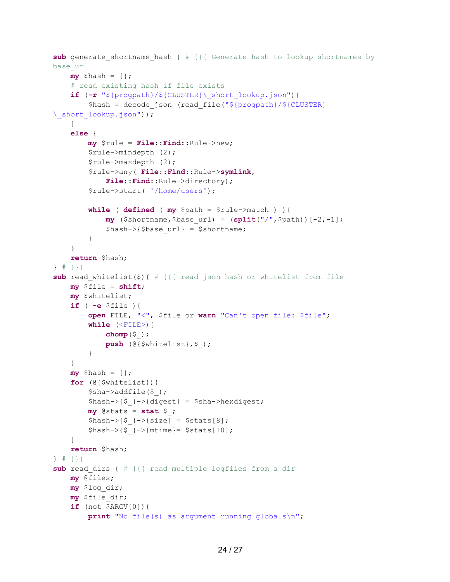```
sub generate shortname hash { # {{{ Generate hash to lookup shortnames by
base_url
    my $hash = {}};
     # read existing hash if file exists
     if (-r "${progpath}/${CLUSTER}\_short_lookup.json"){
        $hash = decode json (read file("${progpath}/${CLUSTER}
\_short_lookup.json"));
     }
     else {
         my $rule = File::Find::Rule->new;
         $rule->mindepth (2);
         $rule->maxdepth (2);
         $rule->any( File::Find::Rule->symlink,
             File::Find::Rule->directory);
         $rule->start( '/home/users');
         while ( defined ( my $path = $rule->match ) ){
             my ($shortname,$base_url) = (split("/",$path))[-2,-1];
             $hash->{$base_url} = $shortname;
         }
     }
     return $hash;
} # }}}
sub read whitelist($){ # {{{ read json hash or whitelist from file
     my $file = shift;
     my $whitelist;
     if ( -e $file ){
         open FILE, "<", $file or warn "Can't open file: $file";
         while (<FILE>){
             chomp($_);
             push (@{$whitelist},$_);
 }
     }
    my $hash = {}};
     for (@{$whitelist}){
         $sha->addfile($_);
        $hash->{$ } >{digest} = $sha->hexdigest;my @stats = stat $;
        $hash->{$}->{size} = $stats[8];
        \hbox{\tt Shash->}{\hbox{\tt S}}->{mtime}= \hbox{\tt Stats}[10];
     }
     return $hash;
} # }}}
sub read dirs { # {{{ read multiple logfiles from a dir
     my @files;
     my $log_dir;
     my $file_dir;
     if (not $ARGV[0]){
         print "No file(s) as argument running globals\n";
```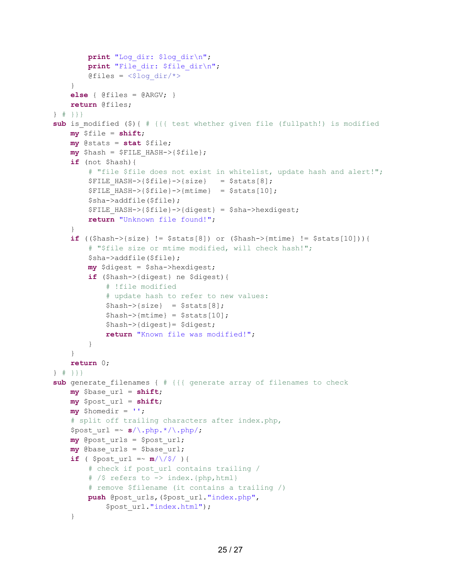```
 print "Log_dir: $log_dir\n";
        print "File dir: $file dir\n";
        @files = \langle$log dir/*>
     }
     else { @files = @ARGV; }
     return @files;
} # }}}
sub is modified ($){ # {{{ test whether given file (fullpath!) is modified
     my $file = shift;
     my @stats = stat $file;
     my $hash = $FILE_HASH->{$file};
     if (not $hash){
         # "file $file does not exist in whitelist, update hash and alert!";
        $FILE HASH->$file}->{}[size] = $stats[8];
        $FILE HASH->$file}->{mtime} = $stats[10]; $sha->addfile($file);
         $FILE_HASH->{$file}->{digest} = $sha->hexdigest;
         return "Unknown file found!";
 }
     if (($hash->{size} != $stats[8]) or ($hash->{mtime} != $stats[10])){
         # "$file size or mtime modified, will check hash!";
         $sha->addfile($file);
         my $digest = $sha->hexdigest;
         if ($hash->{digest} ne $digest){
              # !file modified
              # update hash to refer to new values:
            \hbox{Shash->}{size} = \hbox{Stats}[8];
            \hbox{Shash->}{mtime} = \hbox{Stats}[10];
             $hash->{digest}= $digest;
             return "Known file was modified!";
         }
     }
     return 0;
} # }}}
sub generate filenames { # {{ generate array of filenames to check
     my $base_url = shift;
     my $post_url = shift;
     my $homedir = ''; 
     # split off trailing characters after index.php,
    $post url = ~ s/\.\ph{php.*/\.\ph{ph}};
     my @post_urls = $post_url;
     my @base_urls = $base_url;
    if ( $post url =~ m/\sqrt{5}/ ){
         # check if post_url contains trailing /
         # /$ refers to -> index.{php,html}
         # remove $filename (it contains a trailing /)
         push @post_urls,($post_url."index.php",
             $post_url."index.html");
```

```
 }
```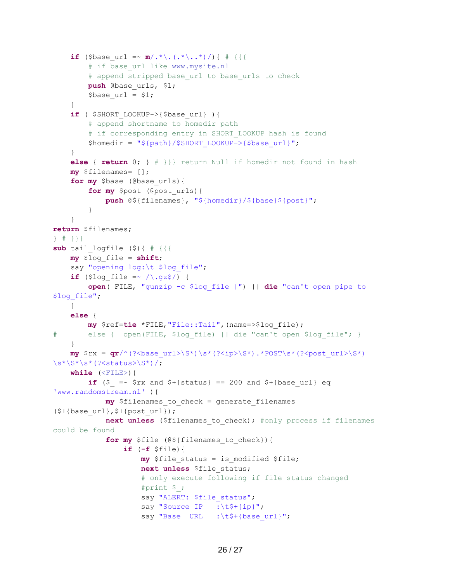```
if ($base url =~ m/.* \backslash.(.*,*)/{}} \{ \# \}# if base url like www.mysite.nl
         # append stripped base url to base urls to check
          push @base_urls, $1;
         $base url = $1; }
     if ( $SHORT_LOOKUP->{$base_url} ){
          # append shortname to homedir path 
         # if corresponding entry in SHORT LOOKUP hash is found
         $homedir = "${path}/$SHORT_LOOKUP->{$base_url}";
 }
     else { return 0; } # }}} return Null if homedir not found in hash
     my $filenames= [];
     for my $base (@base_urls){
          for my $post (@post_urls){
               push @${filenames}, "${homedir}/${base}${post}";
 }
     }
return $filenames;
} # }}}
sub tail logfile (\frac{5}{4}){ \frac{1}{4} {{{
     my $log_file = shift;
    say "opening log:\t $log file";
    if ($log file =~ /\lambda.gz$/) {
          open( FILE, "gunzip -c $log_file |") || die "can't open pipe to 
$log_file";
     }
     else {
          my $ref=tie *FILE,"File::Tail",(name=>$log_file);
# else { open(FILE, $log_file) || die "can't open $log_file"; }
     }
    \mathbf{m}\mathbf{y} \mathbf{S} \mathbf{x} = \mathbf{q} \mathbf{r}/(? \text{base} \text{url}> \text{S*}) \text{ls*}(? \text{kip}> \text{S*}) \cdot \text{POST}\s* (? \text{post} \text{url}> \text{S*})\s*\S*\s*(?<status>\S*)/;
     while (<FILE>){
         if (\frac{2}{3}) = \sqrt{5} fx and \frac{2}{3} +{status} == 200 and \frac{2}{3} +{base url} eq
'www.randomstream.nl' ){
              my $filenames to check = generate filenames
(\frac{\xi}{\delta}+\{\text{base curl}\}, \frac{\xi}{\delta}+\{\text{post curl}\}); next unless ($filenames_to_check); #only process if filenames 
could be found
               for my $file (@${filenames_to_check}){ 
                    if (-f $file){
                       my $file status = is modified $file;
                       next unless $file_status; 
                        # only execute following if file status changed
                        #print $_;
                       say "ALERT: $file status";
                       say "Source IP :\t$+{ip}";
                        say "Base URL :\t$+{base url}";
```